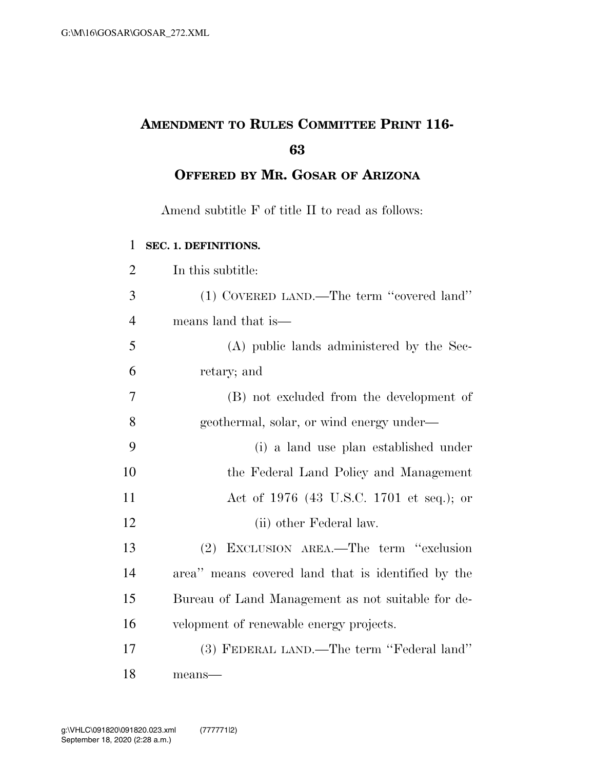# **AMENDMENT TO RULES COMMITTEE PRINT 116-**

**OFFERED BY MR. GOSAR OF ARIZONA**

Amend subtitle F of title II to read as follows:

## **SEC. 1. DEFINITIONS.**

| $\overline{2}$ | In this subtitle:                                  |
|----------------|----------------------------------------------------|
| 3              | (1) COVERED LAND.—The term "covered land"          |
| $\overline{4}$ | means land that is—                                |
| 5              | (A) public lands administered by the Sec-          |
| 6              | retary; and                                        |
| 7              | (B) not excluded from the development of           |
| 8              | geothermal, solar, or wind energy under—           |
| 9              | (i) a land use plan established under              |
| 10             | the Federal Land Policy and Management             |
| 11             | Act of 1976 (43 U.S.C. 1701 et seq.); or           |
| 12             | (ii) other Federal law.                            |
| 13             | (2) EXCLUSION AREA.—The term "exclusion            |
| 14             | area" means covered land that is identified by the |
| 15             | Bureau of Land Management as not suitable for de-  |
| 16             | velopment of renewable energy projects.            |
| 17             | (3) FEDERAL LAND.—The term "Federal land"          |
| 18             | means-                                             |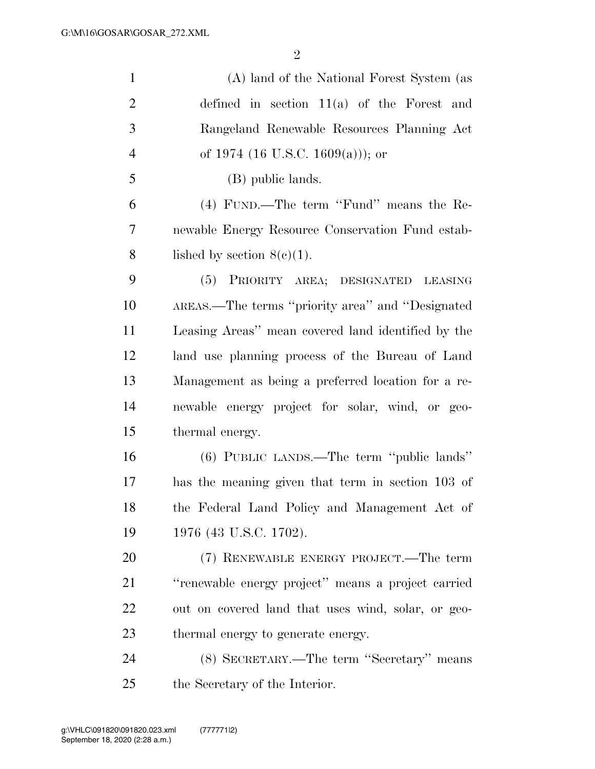| $\mathbf{1}$   | (A) land of the National Forest System (as         |
|----------------|----------------------------------------------------|
| $\overline{2}$ | defined in section $11(a)$ of the Forest and       |
| 3              | Rangeland Renewable Resources Planning Act         |
| $\overline{4}$ | of 1974 (16 U.S.C. 1609(a))); or                   |
| 5              | (B) public lands.                                  |
| 6              | (4) FUND.—The term "Fund" means the Re-            |
| $\tau$         | newable Energy Resource Conservation Fund estab-   |
| 8              | lished by section $8(c)(1)$ .                      |
| 9              | PRIORITY AREA; DESIGNATED LEASING<br>(5)           |
| 10             | AREAS.—The terms "priority area" and "Designated   |
| 11             | Leasing Areas" mean covered land identified by the |
| 12             | land use planning process of the Bureau of Land    |
| 13             | Management as being a preferred location for a re- |
| 14             | newable energy project for solar, wind, or geo-    |
| 15             | thermal energy.                                    |
| 16             | (6) PUBLIC LANDS.—The term "public lands"          |
| 17             | has the meaning given that term in section 103 of  |
| 18             | the Federal Land Policy and Management Act of      |
| 19             | 1976 (43 U.S.C. 1702).                             |
| 20             | (7) RENEWABLE ENERGY PROJECT.—The term             |
| 21             | "renewable energy project" means a project carried |
| 22             | out on covered land that uses wind, solar, or geo- |
| 23             | thermal energy to generate energy.                 |
| 24             | (8) SECRETARY.—The term "Secretary" means          |
| 25             | the Secretary of the Interior.                     |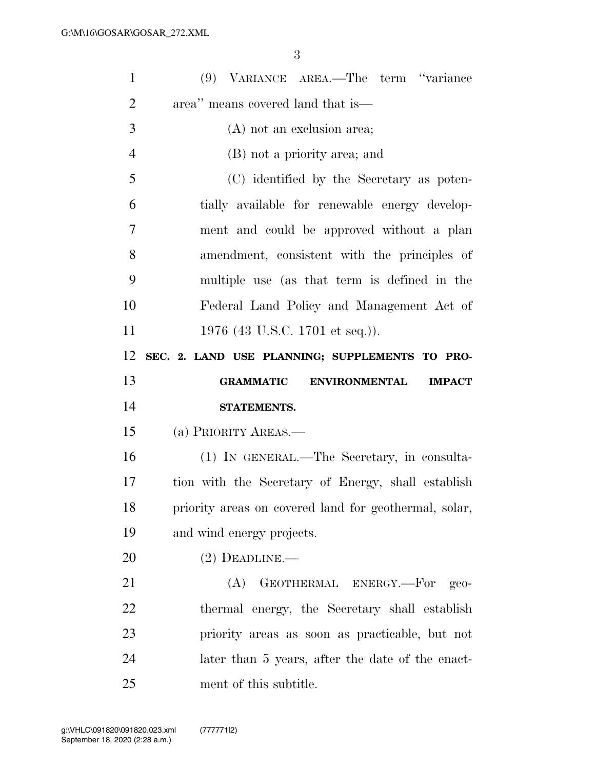| $\mathbf{1}$   | (9) VARIANCE AREA.—The term "variance                     |
|----------------|-----------------------------------------------------------|
| $\overline{2}$ | area" means covered land that is—                         |
| 3              | $(A)$ not an exclusion area;                              |
| $\overline{4}$ | (B) not a priority area; and                              |
| 5              | (C) identified by the Secretary as poten-                 |
| 6              | tially available for renewable energy develop-            |
| $\overline{7}$ | ment and could be approved without a plan                 |
| 8              | amendment, consistent with the principles of              |
| 9              | multiple use (as that term is defined in the              |
| 10             | Federal Land Policy and Management Act of                 |
| 11             | 1976 (43 U.S.C. 1701 et seq.)).                           |
| 12             | SEC. 2. LAND USE PLANNING; SUPPLEMENTS TO PRO-            |
|                |                                                           |
| 13             | <b>GRAMMATIC</b><br><b>ENVIRONMENTAL</b><br><b>IMPACT</b> |
| 14             | STATEMENTS.                                               |
| 15             | (a) PRIORITY AREAS.—                                      |
| 16             | (1) IN GENERAL.—The Secretary, in consulta-               |
| 17             | tion with the Secretary of Energy, shall establish        |
| 18             | priority areas on covered land for geothermal, solar,     |
| 19             | and wind energy projects.                                 |
| 20             | $(2)$ DEADLINE.—                                          |
| 21             | GEOTHERMAL ENERGY.-For geo-<br>(A)                        |
| 22             | thermal energy, the Secretary shall establish             |
| 23             | priority areas as soon as practicable, but not            |
| 24             | later than 5 years, after the date of the enact-          |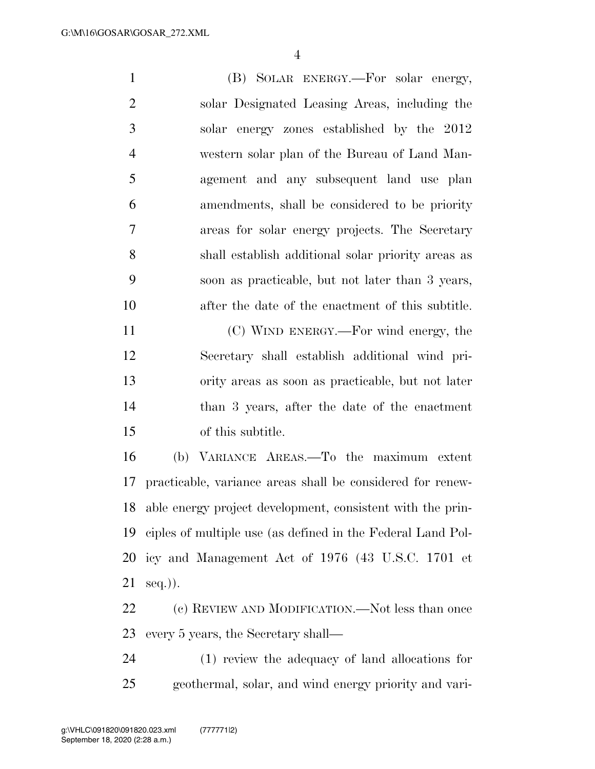(B) SOLAR ENERGY.—For solar energy, solar Designated Leasing Areas, including the solar energy zones established by the 2012 western solar plan of the Bureau of Land Man- agement and any subsequent land use plan amendments, shall be considered to be priority areas for solar energy projects. The Secretary shall establish additional solar priority areas as soon as practicable, but not later than 3 years, after the date of the enactment of this subtitle. (C) WIND ENERGY.—For wind energy, the

 Secretary shall establish additional wind pri- ority areas as soon as practicable, but not later than 3 years, after the date of the enactment of this subtitle.

 (b) VARIANCE AREAS.—To the maximum extent practicable, variance areas shall be considered for renew- able energy project development, consistent with the prin- ciples of multiple use (as defined in the Federal Land Pol- icy and Management Act of 1976 (43 U.S.C. 1701 et  $21 \text{ seq.}).$ 

 (c) REVIEW AND MODIFICATION.—Not less than once every 5 years, the Secretary shall—

 (1) review the adequacy of land allocations for geothermal, solar, and wind energy priority and vari-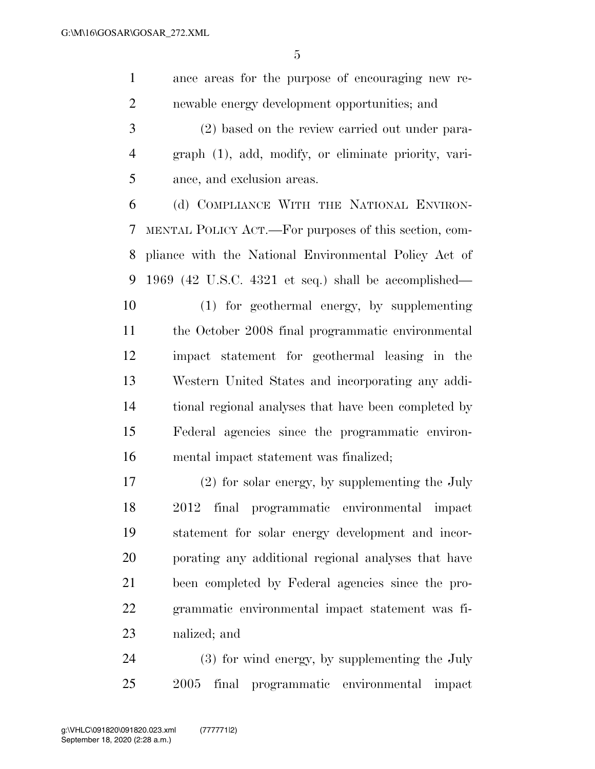ance areas for the purpose of encouraging new re-newable energy development opportunities; and

 (2) based on the review carried out under para- graph (1), add, modify, or eliminate priority, vari-ance, and exclusion areas.

 (d) COMPLIANCE WITH THE NATIONAL ENVIRON- MENTAL POLICY ACT.—For purposes of this section, com- pliance with the National Environmental Policy Act of 1969 (42 U.S.C. 4321 et seq.) shall be accomplished—

 (1) for geothermal energy, by supplementing the October 2008 final programmatic environmental impact statement for geothermal leasing in the Western United States and incorporating any addi- tional regional analyses that have been completed by Federal agencies since the programmatic environ-mental impact statement was finalized;

 (2) for solar energy, by supplementing the July 2012 final programmatic environmental impact statement for solar energy development and incor- porating any additional regional analyses that have been completed by Federal agencies since the pro- grammatic environmental impact statement was fi-nalized; and

 (3) for wind energy, by supplementing the July 2005 final programmatic environmental impact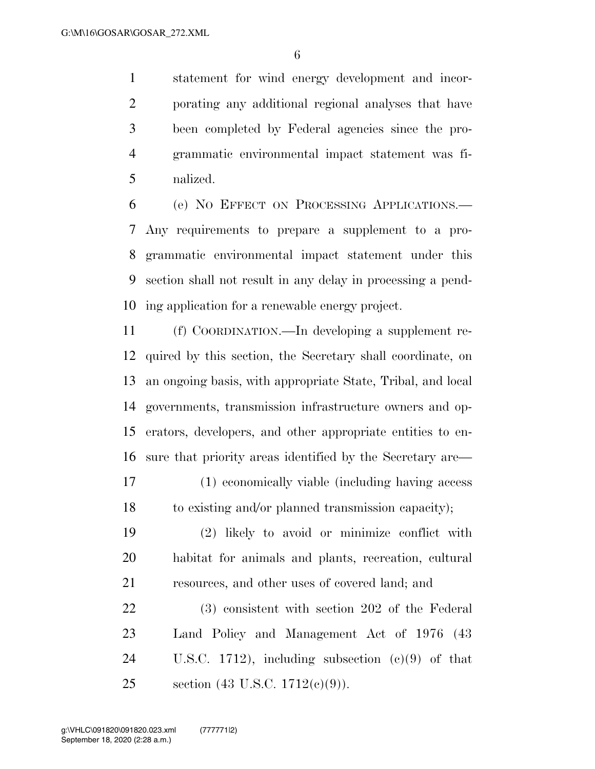statement for wind energy development and incor- porating any additional regional analyses that have been completed by Federal agencies since the pro- grammatic environmental impact statement was fi-nalized.

 (e) NO EFFECT ON PROCESSING APPLICATIONS.— Any requirements to prepare a supplement to a pro- grammatic environmental impact statement under this section shall not result in any delay in processing a pend-ing application for a renewable energy project.

 (f) COORDINATION.—In developing a supplement re- quired by this section, the Secretary shall coordinate, on an ongoing basis, with appropriate State, Tribal, and local governments, transmission infrastructure owners and op- erators, developers, and other appropriate entities to en-sure that priority areas identified by the Secretary are—

 (1) economically viable (including having access to existing and/or planned transmission capacity);

 (2) likely to avoid or minimize conflict with habitat for animals and plants, recreation, cultural resources, and other uses of covered land; and

 (3) consistent with section 202 of the Federal Land Policy and Management Act of 1976 (43 U.S.C. 1712), including subsection (c)(9) of that section (43 U.S.C. 1712(c)(9)).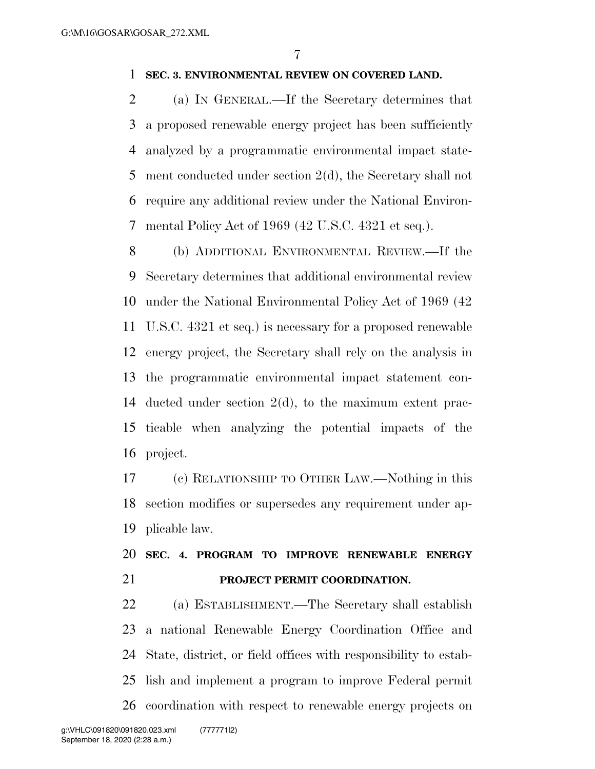### **SEC. 3. ENVIRONMENTAL REVIEW ON COVERED LAND.**

 (a) IN GENERAL.—If the Secretary determines that a proposed renewable energy project has been sufficiently analyzed by a programmatic environmental impact state- ment conducted under section 2(d), the Secretary shall not require any additional review under the National Environ-mental Policy Act of 1969 (42 U.S.C. 4321 et seq.).

 (b) ADDITIONAL ENVIRONMENTAL REVIEW.—If the Secretary determines that additional environmental review under the National Environmental Policy Act of 1969 (42 U.S.C. 4321 et seq.) is necessary for a proposed renewable energy project, the Secretary shall rely on the analysis in the programmatic environmental impact statement con- ducted under section 2(d), to the maximum extent prac- ticable when analyzing the potential impacts of the project.

 (c) RELATIONSHIP TO OTHER LAW.—Nothing in this section modifies or supersedes any requirement under ap-plicable law.

## **SEC. 4. PROGRAM TO IMPROVE RENEWABLE ENERGY PROJECT PERMIT COORDINATION.**

 (a) ESTABLISHMENT.—The Secretary shall establish a national Renewable Energy Coordination Office and State, district, or field offices with responsibility to estab- lish and implement a program to improve Federal permit coordination with respect to renewable energy projects on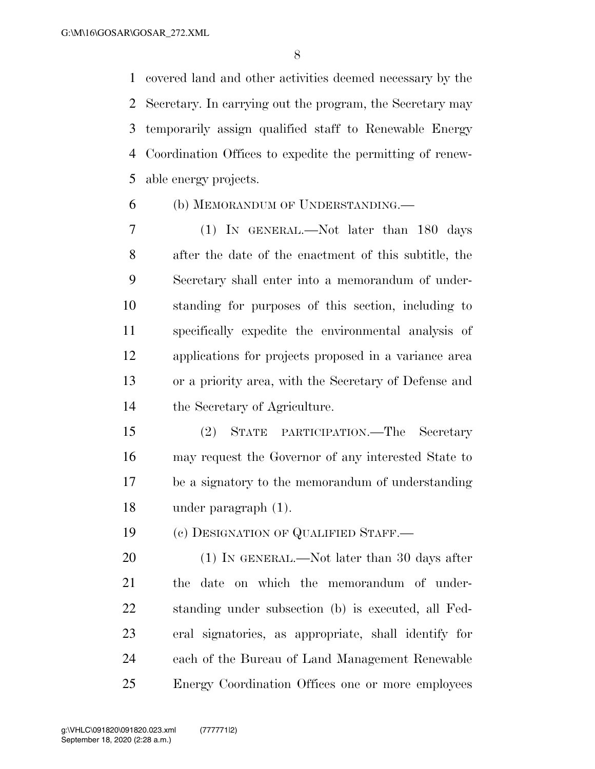covered land and other activities deemed necessary by the Secretary. In carrying out the program, the Secretary may temporarily assign qualified staff to Renewable Energy Coordination Offices to expedite the permitting of renew-able energy projects.

## (b) MEMORANDUM OF UNDERSTANDING.—

 (1) IN GENERAL.—Not later than 180 days after the date of the enactment of this subtitle, the Secretary shall enter into a memorandum of under- standing for purposes of this section, including to specifically expedite the environmental analysis of applications for projects proposed in a variance area or a priority area, with the Secretary of Defense and the Secretary of Agriculture.

 (2) STATE PARTICIPATION.—The Secretary may request the Governor of any interested State to be a signatory to the memorandum of understanding under paragraph (1).

(c) DESIGNATION OF QUALIFIED STAFF.—

20 (1) IN GENERAL.—Not later than 30 days after the date on which the memorandum of under- standing under subsection (b) is executed, all Fed- eral signatories, as appropriate, shall identify for each of the Bureau of Land Management Renewable Energy Coordination Offices one or more employees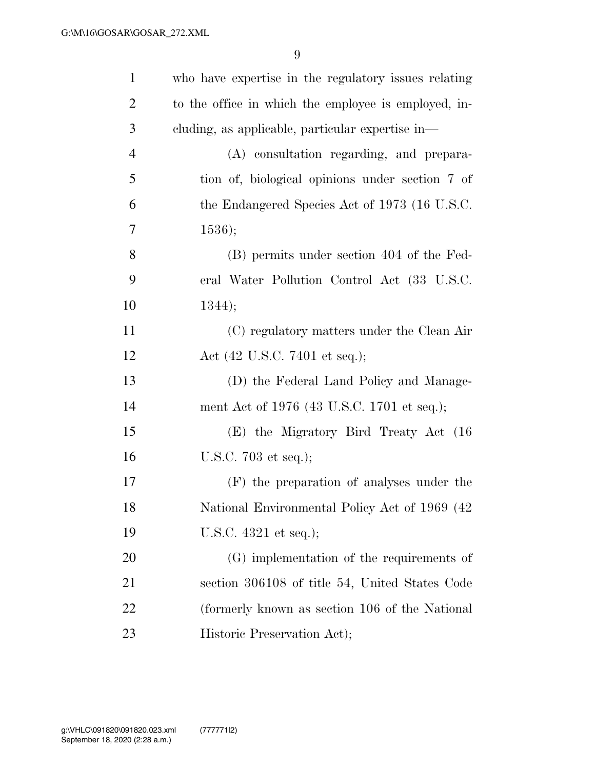| $\mathbf{1}$   | who have expertise in the regulatory issues relating |
|----------------|------------------------------------------------------|
| $\overline{2}$ | to the office in which the employee is employed, in- |
| 3              | cluding, as applicable, particular expertise in—     |
| $\overline{4}$ | (A) consultation regarding, and prepara-             |
| 5              | tion of, biological opinions under section 7 of      |
| 6              | the Endangered Species Act of 1973 (16 U.S.C.        |
| 7              | 1536);                                               |
| 8              | (B) permits under section 404 of the Fed-            |
| 9              | eral Water Pollution Control Act (33 U.S.C.          |
| 10             | 1344);                                               |
| 11             | (C) regulatory matters under the Clean Air           |
| 12             | Act $(42 \text{ U.S.C. } 7401 \text{ et seq.});$     |
| 13             | (D) the Federal Land Policy and Manage-              |
| 14             | ment Act of 1976 (43 U.S.C. 1701 et seq.);           |
| 15             | (E) the Migratory Bird Treaty Act (16                |
| 16             | U.S.C. $703$ et seq.);                               |
| 17             | (F) the preparation of analyses under the            |
| 18             | National Environmental Policy Act of 1969 (42)       |
| 19             | U.S.C. 4321 et seq.);                                |
| 20             | (G) implementation of the requirements of            |
| 21             | section 306108 of title 54, United States Code       |
| 22             | (formerly known as section 106 of the National       |
| 23             | Historic Preservation Act);                          |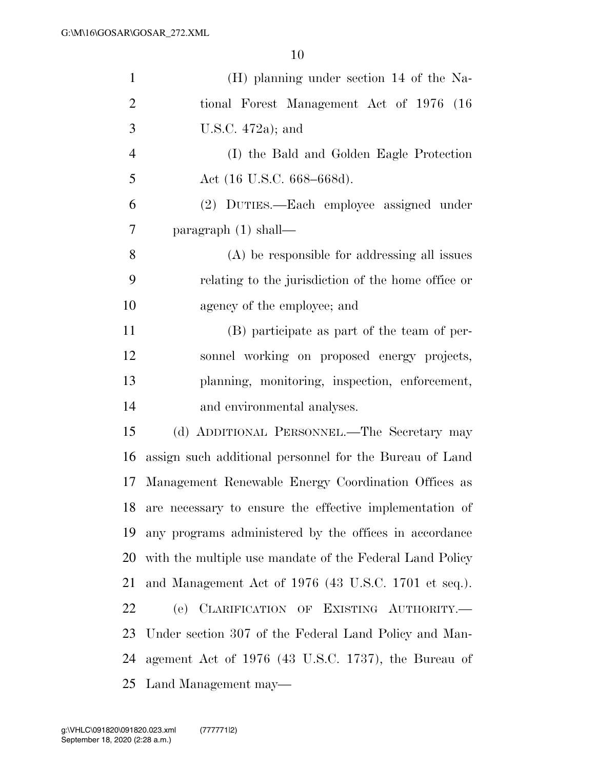| $\mathbf{1}$   | (H) planning under section 14 of the Na-                 |
|----------------|----------------------------------------------------------|
| $\overline{2}$ | tional Forest Management Act of 1976 (16)                |
| 3              | U.S.C. $472a$ ; and                                      |
| $\overline{4}$ | (I) the Bald and Golden Eagle Protection                 |
| 5              | Act (16 U.S.C. 668–668d).                                |
| 6              | (2) DUTIES.—Each employee assigned under                 |
| 7              | paragraph $(1)$ shall—                                   |
| 8              | $(A)$ be responsible for addressing all issues           |
| 9              | relating to the jurisdiction of the home office or       |
| 10             | agency of the employee; and                              |
| 11             | (B) participate as part of the team of per-              |
| 12             | sonnel working on proposed energy projects,              |
| 13             | planning, monitoring, inspection, enforcement,           |
| 14             | and environmental analyses.                              |
| 15             | (d) ADDITIONAL PERSONNEL.—The Secretary may              |
| 16             | assign such additional personnel for the Bureau of Land  |
| 17             | Management Renewable Energy Coordination Offices as      |
| 18             | are necessary to ensure the effective implementation of  |
| 19             | any programs administered by the offices in accordance   |
| 20             | with the multiple use mandate of the Federal Land Policy |
| 21             | and Management Act of 1976 (43 U.S.C. 1701 et seq.).     |
| 22             | (e) CLARIFICATION OF EXISTING AUTHORITY.                 |
| 23             | Under section 307 of the Federal Land Policy and Man-    |
| 24             | agement Act of 1976 (43 U.S.C. 1737), the Bureau of      |
| 25             | Land Management may—                                     |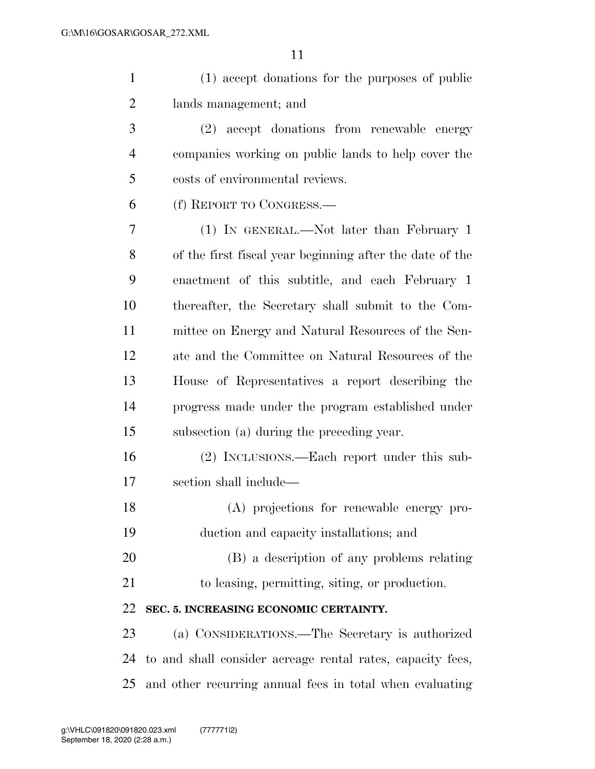(1) accept donations for the purposes of public lands management; and

 (2) accept donations from renewable energy companies working on public lands to help cover the costs of environmental reviews.

(f) REPORT TO CONGRESS.—

 (1) IN GENERAL.—Not later than February 1 of the first fiscal year beginning after the date of the enactment of this subtitle, and each February 1 thereafter, the Secretary shall submit to the Com- mittee on Energy and Natural Resources of the Sen- ate and the Committee on Natural Resources of the House of Representatives a report describing the progress made under the program established under subsection (a) during the preceding year.

 (2) INCLUSIONS.—Each report under this sub-section shall include—

 (A) projections for renewable energy pro-duction and capacity installations; and

(B) a description of any problems relating

to leasing, permitting, siting, or production.

## **SEC. 5. INCREASING ECONOMIC CERTAINTY.**

 (a) CONSIDERATIONS.—The Secretary is authorized to and shall consider acreage rental rates, capacity fees, and other recurring annual fees in total when evaluating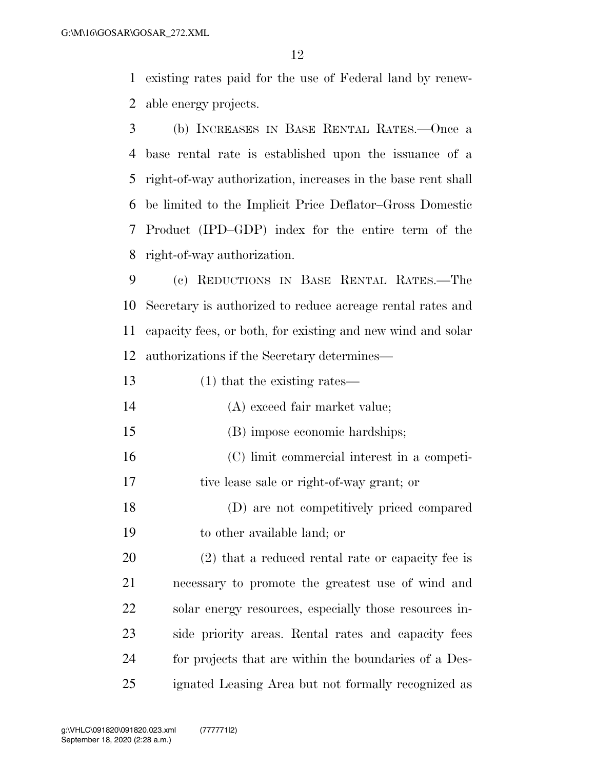existing rates paid for the use of Federal land by renew-able energy projects.

 (b) INCREASES IN BASE RENTAL RATES.—Once a base rental rate is established upon the issuance of a right-of-way authorization, increases in the base rent shall be limited to the Implicit Price Deflator–Gross Domestic Product (IPD–GDP) index for the entire term of the right-of-way authorization.

 (c) REDUCTIONS IN BASE RENTAL RATES.—The Secretary is authorized to reduce acreage rental rates and capacity fees, or both, for existing and new wind and solar authorizations if the Secretary determines—

| 13 | $(1)$ that the existing rates—                    |
|----|---------------------------------------------------|
| 14 | (A) exceed fair market value;                     |
| 15 | (B) impose economic hardships;                    |
| 16 | (C) limit commercial interest in a competi-       |
| 17 | tive lease sale or right-of-way grant; or         |
| 18 | (D) are not competitively priced compared         |
| 19 | to other available land; or                       |
| 20 | (2) that a reduced rental rate or capacity fee is |
|    |                                                   |

 necessary to promote the greatest use of wind and 22 solar energy resources, especially those resources in- side priority areas. Rental rates and capacity fees for projects that are within the boundaries of a Des-ignated Leasing Area but not formally recognized as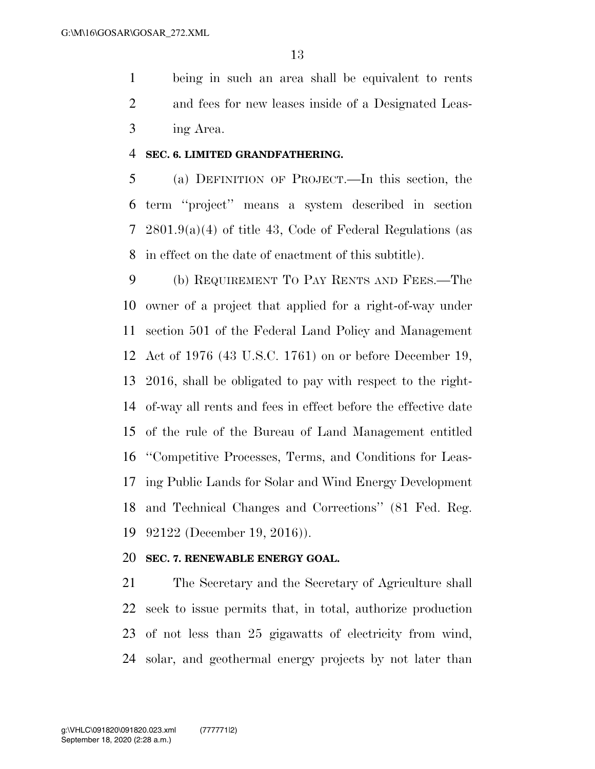being in such an area shall be equivalent to rents and fees for new leases inside of a Designated Leas-ing Area.

#### **SEC. 6. LIMITED GRANDFATHERING.**

 (a) DEFINITION OF PROJECT.—In this section, the term ''project'' means a system described in section 2801.9(a)(4) of title 43, Code of Federal Regulations (as in effect on the date of enactment of this subtitle).

 (b) REQUIREMENT TO PAY RENTS AND FEES.—The owner of a project that applied for a right-of-way under section 501 of the Federal Land Policy and Management Act of 1976 (43 U.S.C. 1761) on or before December 19, 2016, shall be obligated to pay with respect to the right- of-way all rents and fees in effect before the effective date of the rule of the Bureau of Land Management entitled ''Competitive Processes, Terms, and Conditions for Leas- ing Public Lands for Solar and Wind Energy Development and Technical Changes and Corrections'' (81 Fed. Reg. 92122 (December 19, 2016)).

#### **SEC. 7. RENEWABLE ENERGY GOAL.**

 The Secretary and the Secretary of Agriculture shall seek to issue permits that, in total, authorize production of not less than 25 gigawatts of electricity from wind, solar, and geothermal energy projects by not later than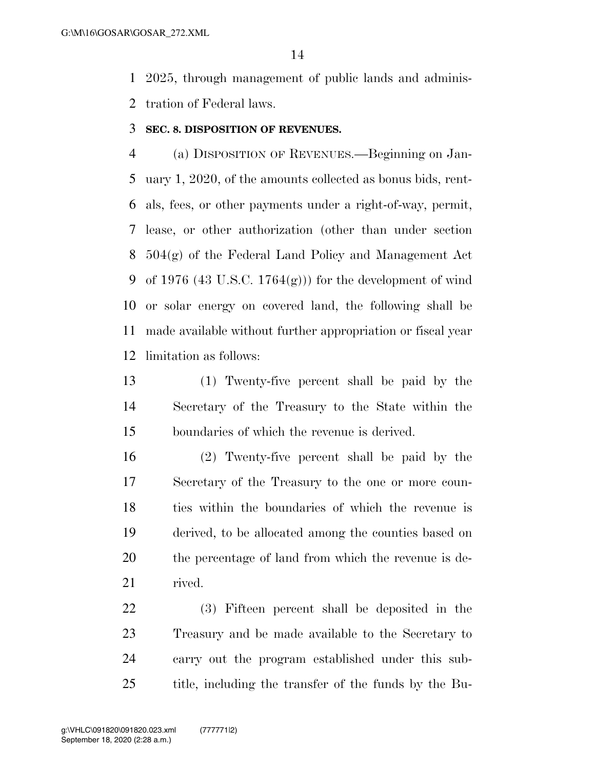2025, through management of public lands and adminis-tration of Federal laws.

#### **SEC. 8. DISPOSITION OF REVENUES.**

 (a) DISPOSITION OF REVENUES.—Beginning on Jan- uary 1, 2020, of the amounts collected as bonus bids, rent- als, fees, or other payments under a right-of-way, permit, lease, or other authorization (other than under section 504(g) of the Federal Land Policy and Management Act 9 of 1976 (43 U.S.C. 1764 $(g)$ )) for the development of wind or solar energy on covered land, the following shall be made available without further appropriation or fiscal year limitation as follows:

 (1) Twenty-five percent shall be paid by the Secretary of the Treasury to the State within the boundaries of which the revenue is derived.

 (2) Twenty-five percent shall be paid by the Secretary of the Treasury to the one or more coun- ties within the boundaries of which the revenue is derived, to be allocated among the counties based on the percentage of land from which the revenue is de-rived.

 (3) Fifteen percent shall be deposited in the Treasury and be made available to the Secretary to carry out the program established under this sub-title, including the transfer of the funds by the Bu-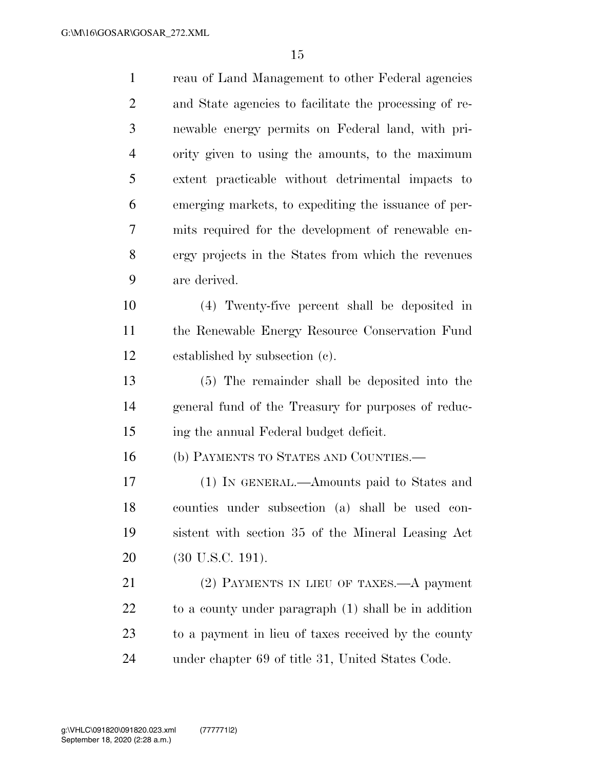| $\mathbf{1}$   | reau of Land Management to other Federal agencies      |
|----------------|--------------------------------------------------------|
| $\overline{2}$ | and State agencies to facilitate the processing of re- |
| 3              | newable energy permits on Federal land, with pri-      |
| $\overline{4}$ | ority given to using the amounts, to the maximum       |
| 5              | extent practicable without detrimental impacts to      |
| 6              | emerging markets, to expediting the issuance of per-   |
| 7              | mits required for the development of renewable en-     |
| 8              | ergy projects in the States from which the revenues    |
| 9              | are derived.                                           |
| 10             | (4) Twenty-five percent shall be deposited in          |
| 11             | the Renewable Energy Resource Conservation Fund        |
| 12             | established by subsection (c).                         |
| 13             | (5) The remainder shall be deposited into the          |
| 14             | general fund of the Treasury for purposes of reduc-    |
| 15             | ing the annual Federal budget deficit.                 |
| 16             | (b) PAYMENTS TO STATES AND COUNTIES.—                  |
| 17             | (1) IN GENERAL.—Amounts paid to States and             |
| 18             | counties under subsection (a) shall be used con-       |
| 19             | sistent with section 35 of the Mineral Leasing Act     |
| 20             | $(30 \text{ U.S.C. } 191).$                            |
| 21             | (2) PAYMENTS IN LIEU OF TAXES.—A payment               |
| 22             | to a county under paragraph (1) shall be in addition   |
| 23             | to a payment in lieu of taxes received by the county   |
| 24             | under chapter 69 of title 31, United States Code.      |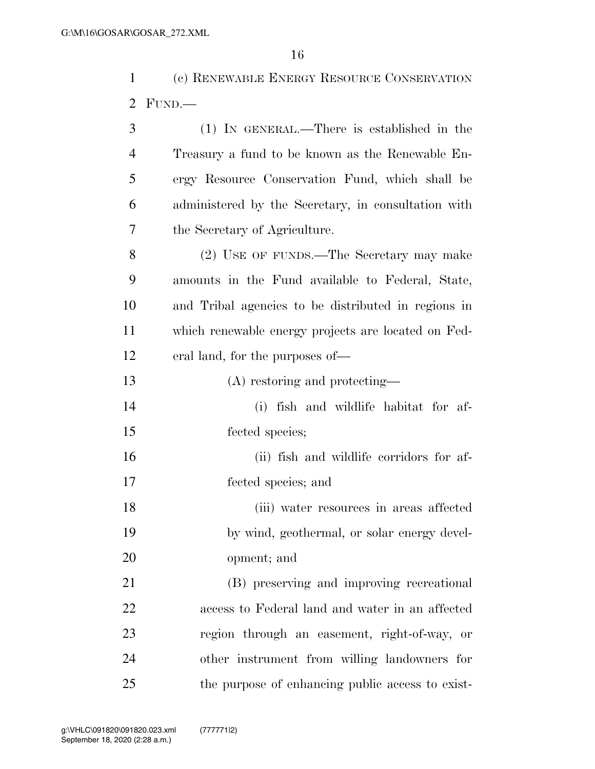(c) RENEWABLE ENERGY RESOURCE CONSERVATION FUND.—

| 3              | $(1)$ IN GENERAL.—There is established in the       |
|----------------|-----------------------------------------------------|
| $\overline{4}$ | Treasury a fund to be known as the Renewable En-    |
| 5              | ergy Resource Conservation Fund, which shall be     |
| 6              | administered by the Secretary, in consultation with |
| 7              | the Secretary of Agriculture.                       |
| 8              | (2) USE OF FUNDS.—The Secretary may make            |
| 9              | amounts in the Fund available to Federal, State,    |
| 10             | and Tribal agencies to be distributed in regions in |
| 11             | which renewable energy projects are located on Fed- |
| 12             | eral land, for the purposes of—                     |
| 13             | (A) restoring and protecting—                       |
| 14             | (i) fish and wildlife habitat for af-               |
| 15             | fected species;                                     |
| 16             | (ii) fish and wildlife corridors for af-            |
| 17             | fected species; and                                 |
| 18             | (iii) water resources in areas affected             |
| 19             | by wind, geothermal, or solar energy devel-         |
| 20             | opment; and                                         |
| 21             | (B) preserving and improving recreational           |
| 22             | access to Federal land and water in an affected     |
| 23             | region through an easement, right-of-way, or        |
| 24             | other instrument from willing landowners for        |
| 25             | the purpose of enhancing public access to exist-    |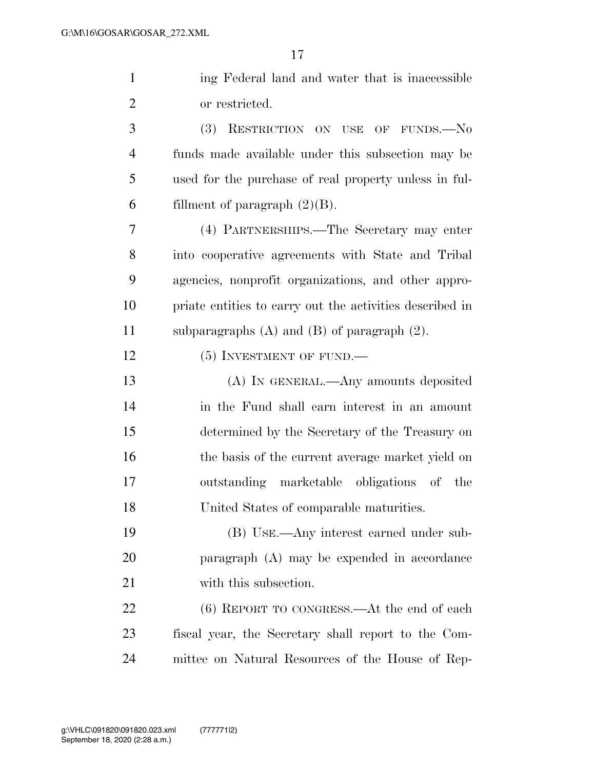| $\mathbf{1}$   | ing Federal land and water that is inaccessible          |
|----------------|----------------------------------------------------------|
| $\overline{2}$ | or restricted.                                           |
| 3              | <b>(3)</b><br>RESTRICTION ON USE OF FUNDS.-No            |
| $\overline{4}$ | funds made available under this subsection may be        |
| 5              | used for the purchase of real property unless in ful-    |
| 6              | fillment of paragraph $(2)(B)$ .                         |
| 7              | (4) PARTNERSHIPS.—The Secretary may enter                |
| 8              | into cooperative agreements with State and Tribal        |
| 9              | agencies, nonprofit organizations, and other appro-      |
| 10             | priate entities to carry out the activities described in |
| 11             | subparagraphs $(A)$ and $(B)$ of paragraph $(2)$ .       |
| 12             | $(5)$ INVESTMENT OF FUND.—                               |
| 13             | (A) IN GENERAL.—Any amounts deposited                    |
| 14             | in the Fund shall earn interest in an amount             |
| 15             | determined by the Secretary of the Treasury on           |
| 16             | the basis of the current average market yield on         |
| 17             | outstanding marketable obligations of the                |
| 18             | United States of comparable maturities.                  |
| 19             | (B) USE.—Any interest earned under sub-                  |
| 20             | $\alpha$ paragraph $(A)$ may be expended in accordance   |
| 21             | with this subsection.                                    |
| 22             | $(6)$ REPORT TO CONGRESS.—At the end of each             |
| 23             | fiscal year, the Secretary shall report to the Com-      |
| 24             | mittee on Natural Resources of the House of Rep-         |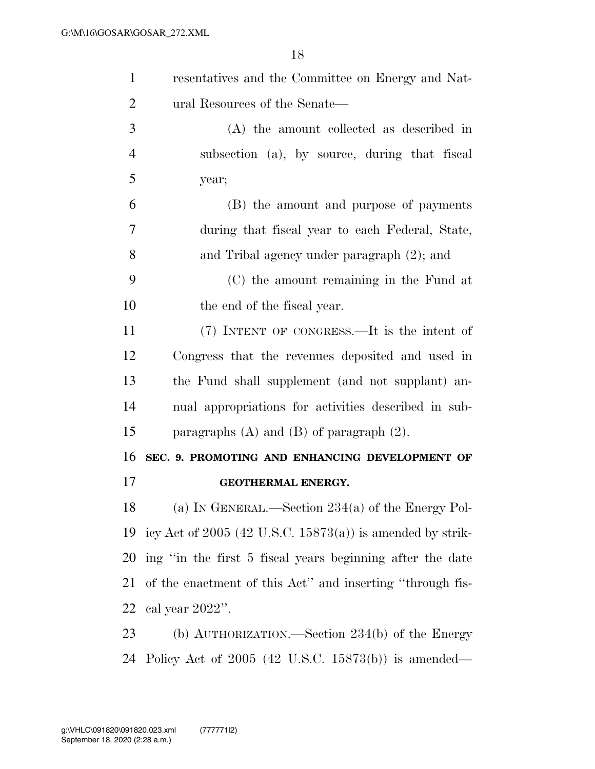| $\mathbf{1}$   | resentatives and the Committee on Energy and Nat-           |
|----------------|-------------------------------------------------------------|
| $\overline{2}$ | ural Resources of the Senate—                               |
| 3              | (A) the amount collected as described in                    |
| $\overline{4}$ | subsection (a), by source, during that fiscal               |
| 5              | year;                                                       |
| 6              | (B) the amount and purpose of payments                      |
| 7              | during that fiscal year to each Federal, State,             |
| 8              | and Tribal agency under paragraph (2); and                  |
| 9              | (C) the amount remaining in the Fund at                     |
| 10             | the end of the fiscal year.                                 |
| 11             | (7) INTENT OF CONGRESS.—It is the intent of                 |
| 12             | Congress that the revenues deposited and used in            |
| 13             | the Fund shall supplement (and not supplant) an-            |
| 14             | nual appropriations for activities described in sub-        |
| 15             | paragraphs $(A)$ and $(B)$ of paragraph $(2)$ .             |
| 16             | SEC. 9. PROMOTING AND ENHANCING DEVELOPMENT OF              |
| 17             | GEOTHERMAL ENERGY.                                          |
| 18             | (a) IN GENERAL.—Section $234(a)$ of the Energy Pol-         |
| 19             | icy Act of $2005$ (42 U.S.C. 15873(a)) is amended by strik- |
| 20             | ing "in the first 5 fiscal years beginning after the date   |
| 21             | of the enactment of this Act" and inserting "through fis-   |
| 22             | cal year $2022$ ".                                          |
| 23             | (b) $\text{AUTH}$ ORIZATION.—Section 234(b) of the Energy   |
| 24             | Policy Act of $2005$ (42 U.S.C. 15873(b)) is amended—       |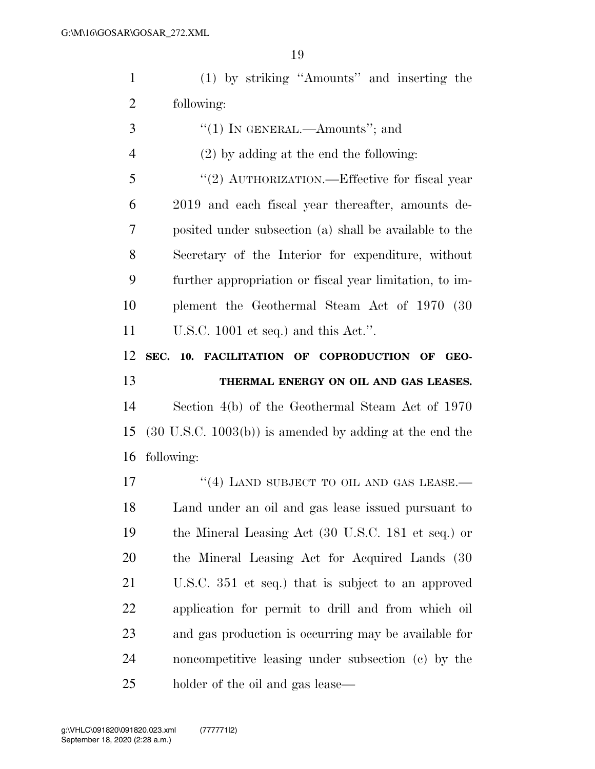(1) by striking ''Amounts'' and inserting the following:

- ''(1) In GENERAL.—Amounts''; and (2) by adding at the end the following: 5 "(2) AUTHORIZATION.—Effective for fiscal year 2019 and each fiscal year thereafter, amounts de- posited under subsection (a) shall be available to the Secretary of the Interior for expenditure, without further appropriation or fiscal year limitation, to im- plement the Geothermal Steam Act of 1970 (30 U.S.C. 1001 et seq.) and this Act.''. **SEC. 10. FACILITATION OF COPRODUCTION OF GEO- THERMAL ENERGY ON OIL AND GAS LEASES.**  Section 4(b) of the Geothermal Steam Act of 1970 (30 U.S.C. 1003(b)) is amended by adding at the end the following: 17 "(4) LAND SUBJECT TO OIL AND GAS LEASE.— Land under an oil and gas lease issued pursuant to the Mineral Leasing Act (30 U.S.C. 181 et seq.) or the Mineral Leasing Act for Acquired Lands (30 U.S.C. 351 et seq.) that is subject to an approved application for permit to drill and from which oil and gas production is occurring may be available for noncompetitive leasing under subsection (c) by the
- holder of the oil and gas lease—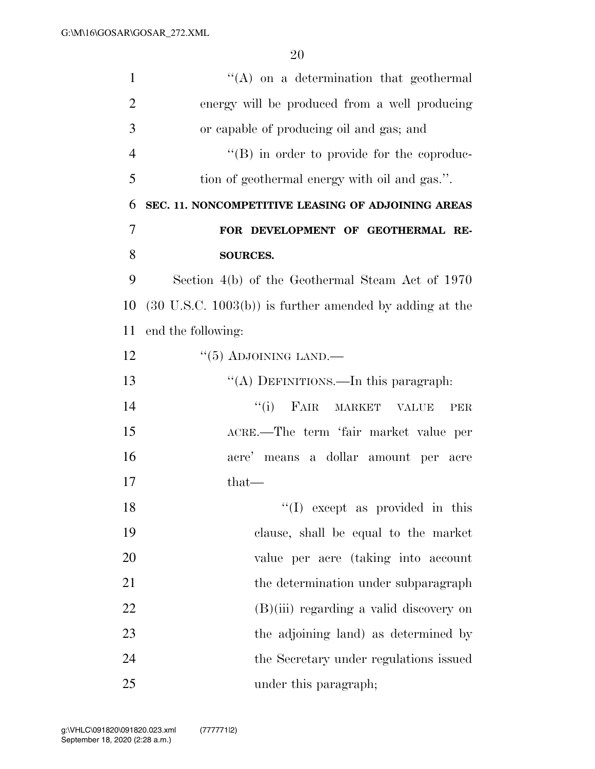| $\mathbf{1}$   | $\lq\lq$ on a determination that geothermal                        |
|----------------|--------------------------------------------------------------------|
| $\overline{2}$ | energy will be produced from a well producing                      |
| 3              | or capable of producing oil and gas; and                           |
| $\overline{4}$ | "(B) in order to provide for the coproduc-                         |
| 5              | tion of geothermal energy with oil and gas.".                      |
| 6              | SEC. 11. NONCOMPETITIVE LEASING OF ADJOINING AREAS                 |
| 7              | FOR DEVELOPMENT OF GEOTHERMAL RE-                                  |
| 8              | <b>SOURCES.</b>                                                    |
| 9              | Section 4(b) of the Geothermal Steam Act of 1970                   |
| 10             | $(30 \text{ U.S.C. } 1003(b))$ is further amended by adding at the |
| 11             | end the following:                                                 |
| 12             | $\lq(5)$ ADJOINING LAND.—                                          |
| 13             | "(A) DEFINITIONS.—In this paragraph:                               |
| 14             | ``(i)<br>FAIR MARKET VALUE<br>PER                                  |
| 15             | ACRE.—The term 'fair market value per                              |
| 16             | acre' means a dollar amount per acre                               |
| 17             | that—                                                              |
| 18             | $\lq(1)$ except as provided in this                                |
| 19             | clause, shall be equal to the market                               |
| 20             | value per acre (taking into account                                |
| 21             | the determination under subparagraph                               |
| 22             | $(B)(iii)$ regarding a valid discovery on                          |
| 23             | the adjoining land) as determined by                               |
| 24             | the Secretary under regulations issued                             |
| 25             | under this paragraph;                                              |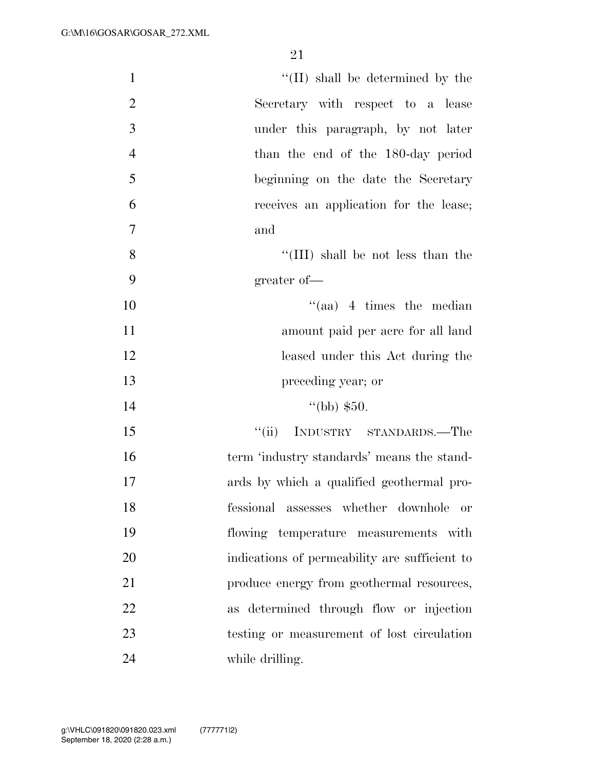| $\mathbf{1}$   | "(II) shall be determined by the              |
|----------------|-----------------------------------------------|
| $\overline{2}$ | Secretary with respect to a lease             |
| 3              | under this paragraph, by not later            |
| $\overline{4}$ | than the end of the 180-day period            |
| 5              | beginning on the date the Secretary           |
| 6              | receives an application for the lease;        |
| $\overline{7}$ | and                                           |
| 8              | "(III) shall be not less than the             |
| 9              | greater of-                                   |
| 10             | $\lq(aa)$ 4 times the median                  |
| 11             | amount paid per acre for all land             |
| 12             | leased under this Act during the              |
| 13             | preceding year; or                            |
| 14             | $\lq(bb)$ \$50.                               |
| 15             | INDUSTRY STANDARDS.—The<br>``(ii)             |
| 16             | term 'industry standards' means the stand-    |
| 17             | ards by which a qualified geothermal pro-     |
| 18             | fessional assesses whether downhole<br>or     |
| 19             | flowing temperature measurements with         |
| 20             | indications of permeability are sufficient to |
| 21             | produce energy from geothermal resources,     |
| 22             | as determined through flow or injection       |
| 23             | testing or measurement of lost circulation    |
| 24             | while drilling.                               |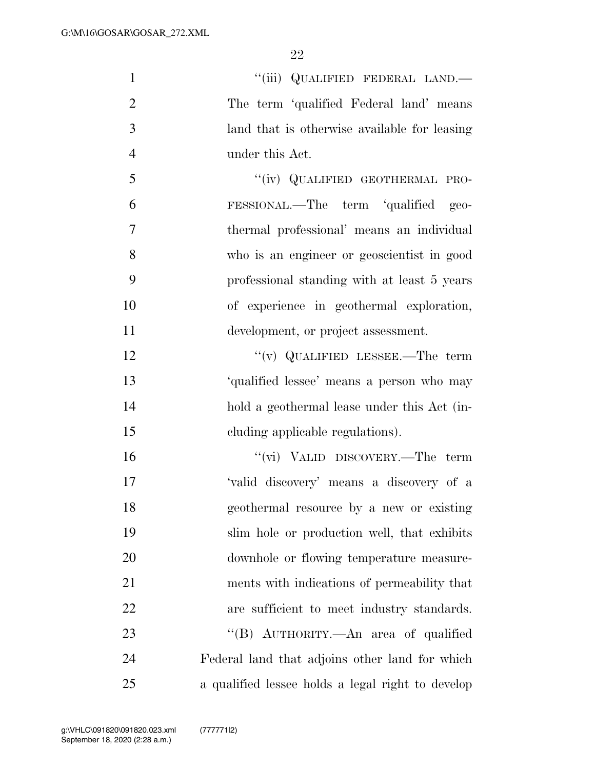| $\mathbf{1}$   | "(iii) QUALIFIED FEDERAL LAND.-                   |
|----------------|---------------------------------------------------|
| $\overline{2}$ | The term 'qualified Federal land' means           |
| 3              | land that is otherwise available for leasing      |
| $\overline{4}$ | under this Act.                                   |
| 5              | "(iv) QUALIFIED GEOTHERMAL PRO-                   |
| 6              | FESSIONAL.—The term 'qualified geo-               |
| 7              | thermal professional' means an individual         |
| 8              | who is an engineer or geoscientist in good        |
| 9              | professional standing with at least 5 years       |
| 10             | of experience in geothermal exploration,          |
| 11             | development, or project assessment.               |
| 12             | "(v) QUALIFIED LESSEE.—The term                   |
| 13             | 'qualified lessee' means a person who may         |
| 14             | hold a geothermal lease under this Act (in-       |
| 15             | eluding applicable regulations).                  |
| 16             | "(vi) VALID DISCOVERY.—The term                   |
| 17             | 'valid discovery' means a discovery of a          |
| 18             | geothermal resource by a new or existing          |
| 19             | slim hole or production well, that exhibits       |
| 20             | downhole or flowing temperature measure-          |
| 21             | ments with indications of permeability that       |
| 22             | are sufficient to meet industry standards.        |
| 23             | "(B) AUTHORITY.—An area of qualified              |
| 24             | Federal land that adjoins other land for which    |
| 25             | a qualified lessee holds a legal right to develop |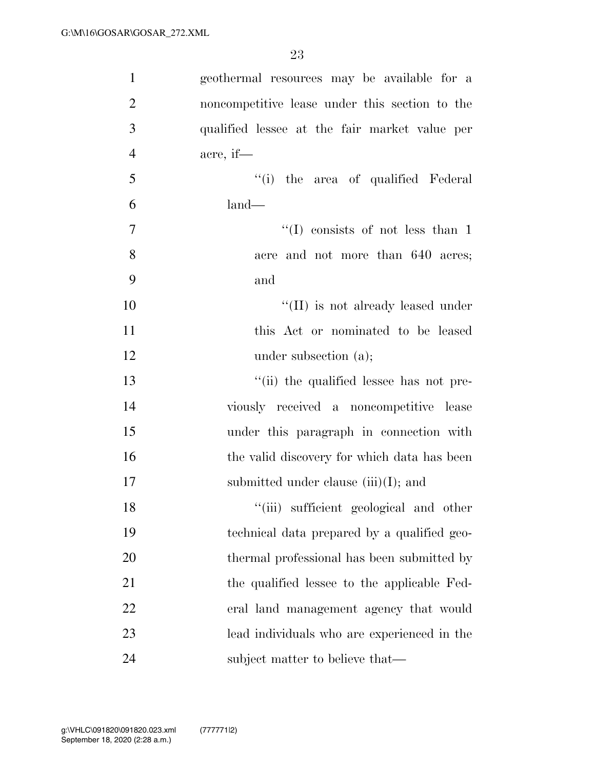| $\mathbf{1}$   | geothermal resources may be available for a    |
|----------------|------------------------------------------------|
| $\overline{2}$ | noncompetitive lease under this section to the |
| 3              | qualified lessee at the fair market value per  |
| $\overline{4}$ | acre, if—                                      |
| 5              | "(i) the area of qualified Federal             |
| 6              | $land-$                                        |
| $\overline{7}$ | $\lq\lq$ consists of not less than 1           |
| 8              | acre and not more than 640 acres;              |
| 9              | and                                            |
| 10             | $\lq\lq$ (II) is not already leased under      |
| 11             | this Act or nominated to be leased             |
| 12             | under subsection $(a)$ ;                       |
| 13             | "(ii) the qualified lessee has not pre-        |
| 14             | viously received a noncompetitive lease        |
| 15             | under this paragraph in connection with        |
| 16             | the valid discovery for which data has been    |
| 17             | submitted under clause $(iii)(I)$ ; and        |
| 18             | "(iii) sufficient geological and other         |
| 19             | technical data prepared by a qualified geo-    |
| 20             | thermal professional has been submitted by     |
| 21             | the qualified lessee to the applicable Fed-    |
| 22             | eral land management agency that would         |
| 23             | lead individuals who are experienced in the    |
| 24             | subject matter to believe that—                |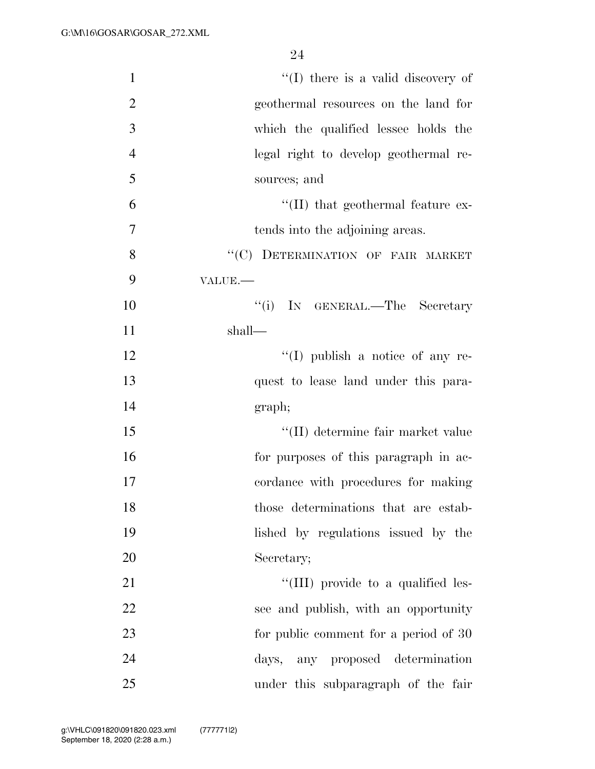| $\mathbf{1}$   | $\lq\lq$ (I) there is a valid discovery of |
|----------------|--------------------------------------------|
| $\overline{2}$ | geothermal resources on the land for       |
| 3              | which the qualified lessee holds the       |
| $\overline{4}$ | legal right to develop geothermal re-      |
| 5              | sources; and                               |
| 6              | $\lq\lq$ (II) that geothermal feature ex-  |
| 7              | tends into the adjoining areas.            |
| 8              | "(C) DETERMINATION OF FAIR MARKET          |
| 9              | VALUE.                                     |
| 10             | "(i) IN GENERAL.—The Secretary             |
| 11             | shall—                                     |
| 12             | $\lq\lq$ (I) publish a notice of any re-   |
| 13             | quest to lease land under this para-       |
| 14             | graph;                                     |
| 15             | "(II) determine fair market value          |
| 16             | for purposes of this paragraph in ac-      |
| 17             | cordance with procedures for making        |
| 18             | those determinations that are estab-       |
| 19             | lished by regulations issued by the        |
| 20             | Secretary;                                 |
| 21             | "(III) provide to a qualified les-         |
| 22             | see and publish, with an opportunity       |
| 23             | for public comment for a period of 30      |
| 24             | days, any proposed determination           |
| 25             | under this subparagraph of the fair        |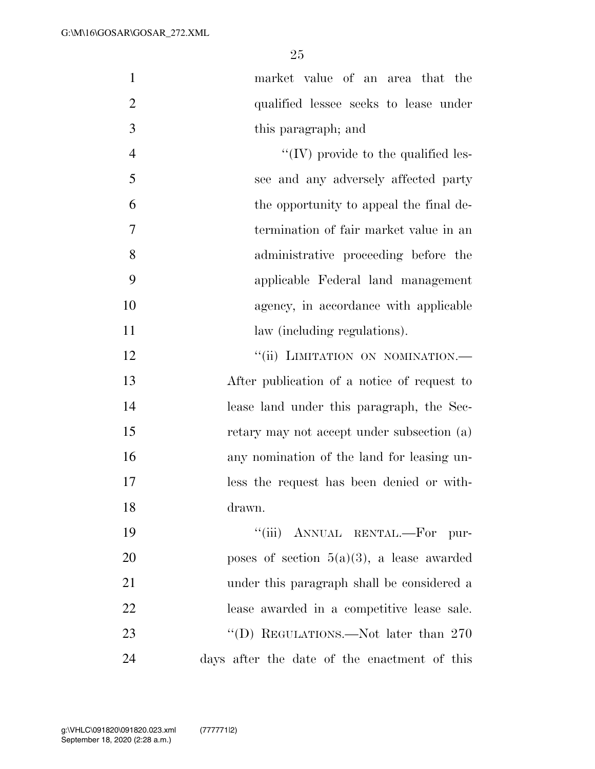|                | market value of an area that the        |
|----------------|-----------------------------------------|
|                |                                         |
| 2              | qualified lessee seeks to lease under   |
| 3              | this paragraph; and                     |
| $\overline{4}$ | "(IV) provide to the qualified les-     |
| 5              | see and any adversely affected party    |
| 6              | the opportunity to appeal the final de- |
| 7              | termination of fair market value in an  |
| 8              | administrative proceeding before the    |
| 9              | applicable Federal land management      |
| 10             | agency, in accordance with applicable   |

11 law (including regulations). 12 "(ii) LIMITATION ON NOMINATION.— After publication of a notice of request to lease land under this paragraph, the Sec- retary may not accept under subsection (a) any nomination of the land for leasing un- less the request has been denied or with-drawn.

| 19        | "(iii) ANNUAL RENTAL.—For pur-               |
|-----------|----------------------------------------------|
| <b>20</b> | poses of section $5(a)(3)$ , a lease awarded |
| 21        | under this paragraph shall be considered a   |
| 22        | lease awarded in a competitive lease sale.   |
| 23        | "(D) REGULATIONS.—Not later than $270$       |
| 24        | days after the date of the enactment of this |